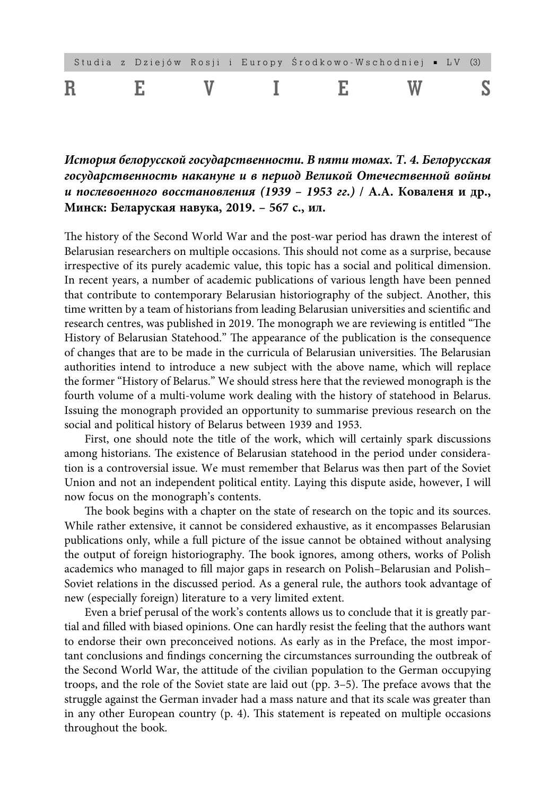|  |  |  | Studia z Dziejów Rosji i Europy Środkowo–Wschodniej • LV (3) |  |  |
|--|--|--|--------------------------------------------------------------|--|--|
|  |  |  |                                                              |  |  |

**История белорусской государственности. В пяти томах. Т. 4. Белорусская государственность накануне и в период Великой Отечественной войны и послевоенного восстановления (1939 – 1953 гг.) / А.А. Коваленя и др., Минск: Беларуская навука, 2019. – 567 с., ил.**

The history of the Second World War and the post-war period has drawn the interest of Belarusian researchers on multiple occasions. This should not come as a surprise, because irrespective of its purely academic value, this topic has a social and political dimension. In recent years, a number of academic publications of various length have been penned that contribute to contemporary Belarusian historiography of the subject. Another, this time written by a team of historians from leading Belarusian universities and scientific and research centres, was published in 2019. The monograph we are reviewing is entitled "The History of Belarusian Statehood." The appearance of the publication is the consequence of changes that are to be made in the curricula of Belarusian universities. The Belarusian authorities intend to introduce a new subject with the above name, which will replace the former "History of Belarus." We should stress here that the reviewed monograph is the fourth volume of a multi-volume work dealing with the history of statehood in Belarus. Issuing the monograph provided an opportunity to summarise previous research on the social and political history of Belarus between 1939 and 1953.

First, one should note the title of the work, which will certainly spark discussions among historians. The existence of Belarusian statehood in the period under consideration is a controversial issue. We must remember that Belarus was then part of the Soviet Union and not an independent political entity. Laying this dispute aside, however, I will now focus on the monograph's contents.

The book begins with a chapter on the state of research on the topic and its sources. While rather extensive, it cannot be considered exhaustive, as it encompasses Belarusian publications only, while a full picture of the issue cannot be obtained without analysing the output of foreign historiography. The book ignores, among others, works of Polish academics who managed to fill major gaps in research on Polish-Belarusian and Polish-Soviet relations in the discussed period. As a general rule, the authors took advantage of new (especially foreign) literature to a very limited extent.

Even a brief perusal of the work's contents allows us to conclude that it is greatly partial and filled with biased opinions. One can hardly resist the feeling that the authors want to endorse their own preconceived notions. As early as in the Preface, the most important conclusions and findings concerning the circumstances surrounding the outbreak of the Second World War, the attitude of the civilian population to the German occupying troops, and the role of the Soviet state are laid out (pp. 3-5). The preface avows that the struggle against the German invader had a mass nature and that its scale was greater than in any other European country  $(p. 4)$ . This statement is repeated on multiple occasions throughout the book.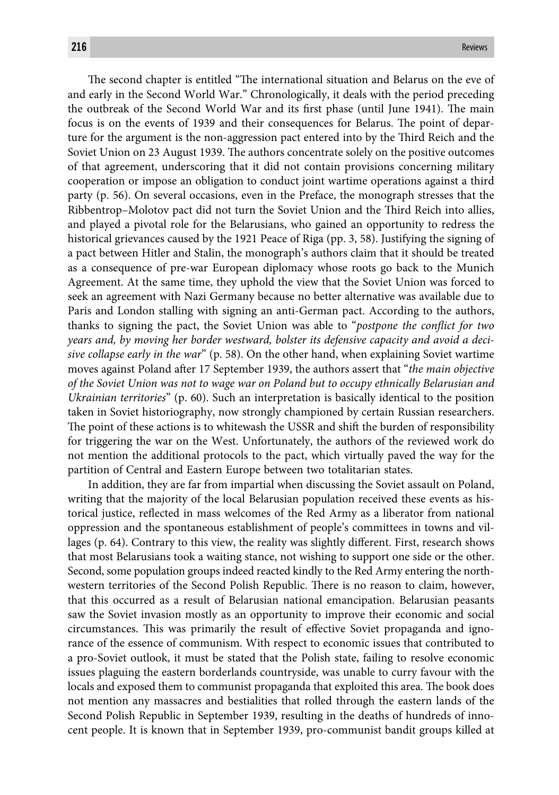The second chapter is entitled "The international situation and Belarus on the eve of and early in the Second World War." Chronologically, it deals with the period preceding the outbreak of the Second World War and its first phase (until June 1941). The main focus is on the events of 1939 and their consequences for Belarus. The point of departure for the argument is the non-aggression pact entered into by the Third Reich and the Soviet Union on 23 August 1939. The authors concentrate solely on the positive outcomes of that agreement, underscoring that it did not contain provisions concerning military cooperation or impose an obligation to conduct joint wartime operations against a third party (p. 56). On several occasions, even in the Preface, the monograph stresses that the Ribbentrop–Molotov pact did not turn the Soviet Union and the Third Reich into allies, and played a pivotal role for the Belarusians, who gained an opportunity to redress the historical grievances caused by the 1921 Peace of Riga (pp. 3, 58). Justifying the signing of a pact between Hitler and Stalin, the monograph's authors claim that it should be treated as a consequence of pre-war European diplomacy whose roots go back to the Munich Agreement. At the same time, they uphold the view that the Soviet Union was forced to seek an agreement with Nazi Germany because no better alternative was available due to Paris and London stalling with signing an anti-German pact. According to the authors, thanks to signing the pact, the Soviet Union was able to "*postpone the conflict for two years and, by moving her border westward, bolster its defensive capacity and avoid a decisive collapse early in the war*" (p. 58). On the other hand, when explaining Soviet wartime moves against Poland after 17 September 1939, the authors assert that "*the main objective of the Soviet Union was not to wage war on Poland but to occupy ethnically Belarusian and Ukrainian territories*" (p. 60). Such an interpretation is basically identical to the position taken in Soviet historiography, now strongly championed by certain Russian researchers. The point of these actions is to whitewash the USSR and shift the burden of responsibility for triggering the war on the West. Unfortunately, the authors of the reviewed work do not mention the additional protocols to the pact, which virtually paved the way for the partition of Central and Eastern Europe between two totalitarian states.

In addition, they are far from impartial when discussing the Soviet assault on Poland, writing that the majority of the local Belarusian population received these events as historical justice, reflected in mass welcomes of the Red Army as a liberator from national oppression and the spontaneous establishment of people's committees in towns and villages (p. 64). Contrary to this view, the reality was slightly different. First, research shows that most Belarusians took a waiting stance, not wishing to support one side or the other. Second, some population groups indeed reacted kindly to the Red Army entering the northwestern territories of the Second Polish Republic. There is no reason to claim, however, that this occurred as a result of Belarusian national emancipation. Belarusian peasants saw the Soviet invasion mostly as an opportunity to improve their economic and social circumstances. This was primarily the result of effective Soviet propaganda and ignorance of the essence of communism. With respect to economic issues that contributed to a pro-Soviet outlook, it must be stated that the Polish state, failing to resolve economic issues plaguing the eastern borderlands countryside, was unable to curry favour with the locals and exposed them to communist propaganda that exploited this area. The book does not mention any massacres and bestialities that rolled through the eastern lands of the Second Polish Republic in September 1939, resulting in the deaths of hundreds of innocent people. It is known that in September 1939, pro-communist bandit groups killed at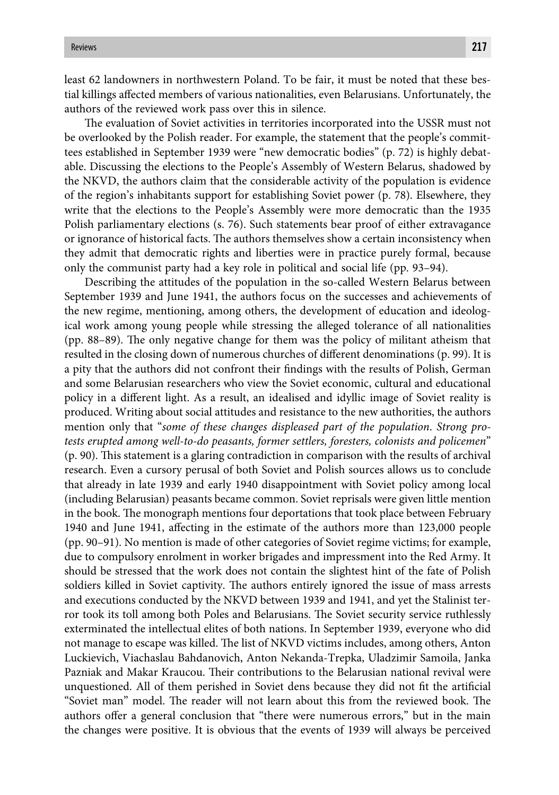least 62 landowners in northwestern Poland. To be fair, it must be noted that these bestial killings affected members of various nationalities, even Belarusians. Unfortunately, the authors of the reviewed work pass over this in silence.

The evaluation of Soviet activities in territories incorporated into the USSR must not be overlooked by the Polish reader. For example, the statement that the people's committees established in September 1939 were "new democratic bodies" (p. 72) is highly debatable. Discussing the elections to the People's Assembly of Western Belarus, shadowed by the NKVD, the authors claim that the considerable activity of the population is evidence of the region's inhabitants support for establishing Soviet power (p. 78). Elsewhere, they write that the elections to the People's Assembly were more democratic than the 1935 Polish parliamentary elections (s. 76). Such statements bear proof of either extravagance or ignorance of historical facts. The authors themselves show a certain inconsistency when they admit that democratic rights and liberties were in practice purely formal, because only the communist party had a key role in political and social life (pp. 93–94).

Describing the attitudes of the population in the so-called Western Belarus between September 1939 and June 1941, the authors focus on the successes and achievements of the new regime, mentioning, among others, the development of education and ideological work among young people while stressing the alleged tolerance of all nationalities (pp.  $88-89$ ). The only negative change for them was the policy of militant atheism that resulted in the closing down of numerous churches of different denominations (p. 99). It is a pity that the authors did not confront their findings with the results of Polish, German and some Belarusian researchers who view the Soviet economic, cultural and educational policy in a different light. As a result, an idealised and idyllic image of Soviet reality is produced. Writing about social attitudes and resistance to the new authorities, the authors mention only that "*some of these changes displeased part of the population*. *Strong protests erupted among well-to-do peasants, former settlers, foresters, colonists and policemen*"  $(p. 90)$ . This statement is a glaring contradiction in comparison with the results of archival research. Even a cursory perusal of both Soviet and Polish sources allows us to conclude that already in late 1939 and early 1940 disappointment with Soviet policy among local (including Belarusian) peasants became common. Soviet reprisals were given little mention in the book. The monograph mentions four deportations that took place between February 1940 and June 1941, affecting in the estimate of the authors more than 123,000 people (pp. 90–91). No mention is made of other categories of Soviet regime victims; for example, due to compulsory enrolment in worker brigades and impressment into the Red Army. It should be stressed that the work does not contain the slightest hint of the fate of Polish soldiers killed in Soviet captivity. The authors entirely ignored the issue of mass arrests and executions conducted by the NKVD between 1939 and 1941, and yet the Stalinist terror took its toll among both Poles and Belarusians. The Soviet security service ruthlessly exterminated the intellectual elites of both nations. In September 1939, everyone who did not manage to escape was killed. The list of NKVD victims includes, among others, Anton Luckievich, Viachaslau Bahdanovich, Anton Nekanda-Trepka, Uladzimir Samoila, Janka Pazniak and Makar Kraucou. Their contributions to the Belarusian national revival were unquestioned. All of them perished in Soviet dens because they did not fit the artificial "Soviet man" model. The reader will not learn about this from the reviewed book. The authors offer a general conclusion that "there were numerous errors," but in the main the changes were positive. It is obvious that the events of 1939 will always be perceived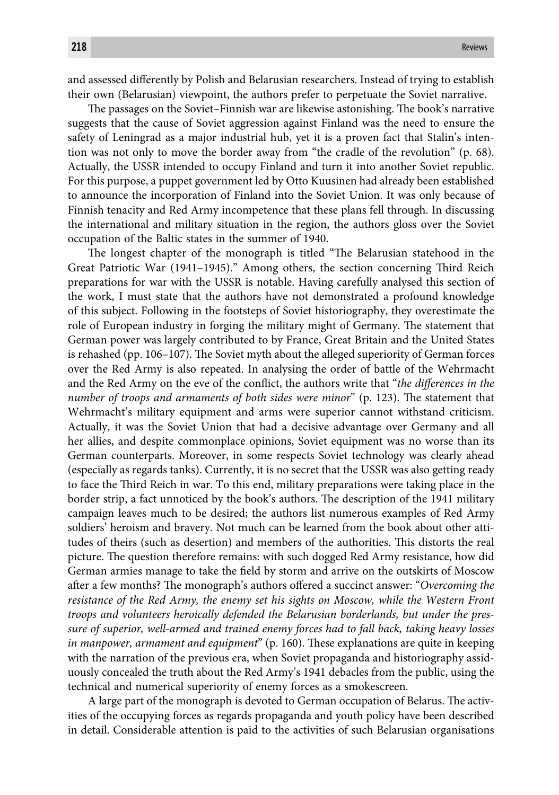and assessed differently by Polish and Belarusian researchers. Instead of trying to establish their own (Belarusian) viewpoint, the authors prefer to perpetuate the Soviet narrative.

The passages on the Soviet–Finnish war are likewise astonishing. The book's narrative suggests that the cause of Soviet aggression against Finland was the need to ensure the safety of Leningrad as a major industrial hub, yet it is a proven fact that Stalin's intention was not only to move the border away from "the cradle of the revolution" (p. 68). Actually, the USSR intended to occupy Finland and turn it into another Soviet republic. For this purpose, a puppet government led by Otto Kuusinen had already been established to announce the incorporation of Finland into the Soviet Union. It was only because of Finnish tenacity and Red Army incompetence that these plans fell through. In discussing the international and military situation in the region, the authors gloss over the Soviet occupation of the Baltic states in the summer of 1940.

The longest chapter of the monograph is titled "The Belarusian statehood in the Great Patriotic War (1941–1945)." Among others, the section concerning Third Reich preparations for war with the USSR is notable. Having carefully analysed this section of the work, I must state that the authors have not demonstrated a profound knowledge of this subject. Following in the footsteps of Soviet historiography, they overestimate the role of European industry in forging the military might of Germany. The statement that German power was largely contributed to by France, Great Britain and the United States is rehashed (pp. 106–107). The Soviet myth about the alleged superiority of German forces over the Red Army is also repeated. In analysing the order of battle of the Wehrmacht and the Red Army on the eve of the conflict, the authors write that "*the differences in the number of troops and armaments of both sides were minor*" (p. 123). The statement that Wehrmacht's military equipment and arms were superior cannot withstand criticism. Actually, it was the Soviet Union that had a decisive advantage over Germany and all her allies, and despite commonplace opinions, Soviet equipment was no worse than its German counterparts. Moreover, in some respects Soviet technology was clearly ahead (especially as regards tanks). Currently, it is no secret that the USSR was also getting ready to face the Third Reich in war. To this end, military preparations were taking place in the border strip, a fact unnoticed by the book's authors. The description of the 1941 military campaign leaves much to be desired; the authors list numerous examples of Red Army soldiers' heroism and bravery. Not much can be learned from the book about other attitudes of theirs (such as desertion) and members of the authorities. This distorts the real picture. The question therefore remains: with such dogged Red Army resistance, how did German armies manage to take the field by storm and arrive on the outskirts of Moscow after a few months? The monograph's authors offered a succinct answer: "Overcoming the *resistance of the Red Army, the enemy set his sights on Moscow, while the Western Front troops and volunteers heroically defended the Belarusian borderlands, but under the pressure of superior, well-armed and trained enemy forces had to fall back, taking heavy losses in manpower, armament and equipment*" (p. 160). These explanations are quite in keeping with the narration of the previous era, when Soviet propaganda and historiography assiduously concealed the truth about the Red Army's 1941 debacles from the public, using the technical and numerical superiority of enemy forces as a smokescreen.

A large part of the monograph is devoted to German occupation of Belarus. The activities of the occupying forces as regards propaganda and youth policy have been described in detail. Considerable attention is paid to the activities of such Belarusian organisations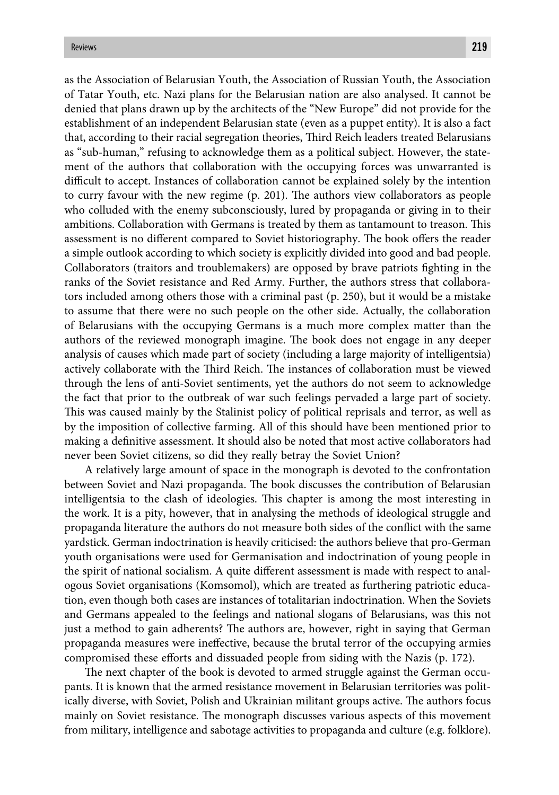as the Association of Belarusian Youth, the Association of Russian Youth, the Association of Tatar Youth, etc. Nazi plans for the Belarusian nation are also analysed. It cannot be denied that plans drawn up by the architects of the "New Europe" did not provide for the establishment of an independent Belarusian state (even as a puppet entity). It is also a fact that, according to their racial segregation theories, Third Reich leaders treated Belarusians as "sub-human," refusing to acknowledge them as a political subject. However, the statement of the authors that collaboration with the occupying forces was unwarranted is difficult to accept. Instances of collaboration cannot be explained solely by the intention to curry favour with the new regime  $(p. 201)$ . The authors view collaborators as people who colluded with the enemy subconsciously, lured by propaganda or giving in to their ambitions. Collaboration with Germans is treated by them as tantamount to treason. This assessment is no different compared to Soviet historiography. The book offers the reader a simple outlook according to which society is explicitly divided into good and bad people. Collaborators (traitors and troublemakers) are opposed by brave patriots fighting in the ranks of the Soviet resistance and Red Army. Further, the authors stress that collaborators included among others those with a criminal past (p. 250), but it would be a mistake to assume that there were no such people on the other side. Actually, the collaboration of Belarusians with the occupying Germans is a much more complex matter than the authors of the reviewed monograph imagine. The book does not engage in any deeper analysis of causes which made part of society (including a large majority of intelligentsia) actively collaborate with the Third Reich. The instances of collaboration must be viewed through the lens of anti-Soviet sentiments, yet the authors do not seem to acknowledge the fact that prior to the outbreak of war such feelings pervaded a large part of society. This was caused mainly by the Stalinist policy of political reprisals and terror, as well as by the imposition of collective farming. All of this should have been mentioned prior to making a definitive assessment. It should also be noted that most active collaborators had never been Soviet citizens, so did they really betray the Soviet Union?

A relatively large amount of space in the monograph is devoted to the confrontation between Soviet and Nazi propaganda. The book discusses the contribution of Belarusian intelligentsia to the clash of ideologies. This chapter is among the most interesting in the work. It is a pity, however, that in analysing the methods of ideological struggle and propaganda literature the authors do not measure both sides of the conflict with the same yardstick. German indoctrination is heavily criticised: the authors believe that pro-German youth organisations were used for Germanisation and indoctrination of young people in the spirit of national socialism. A quite different assessment is made with respect to analogous Soviet organisations (Komsomol), which are treated as furthering patriotic education, even though both cases are instances of totalitarian indoctrination. When the Soviets and Germans appealed to the feelings and national slogans of Belarusians, was this not just a method to gain adherents? The authors are, however, right in saying that German propaganda measures were ineffective, because the brutal terror of the occupying armies compromised these efforts and dissuaded people from siding with the Nazis (p. 172).

The next chapter of the book is devoted to armed struggle against the German occupants. It is known that the armed resistance movement in Belarusian territories was politically diverse, with Soviet, Polish and Ukrainian militant groups active. The authors focus mainly on Soviet resistance. The monograph discusses various aspects of this movement from military, intelligence and sabotage activities to propaganda and culture (e.g. folklore).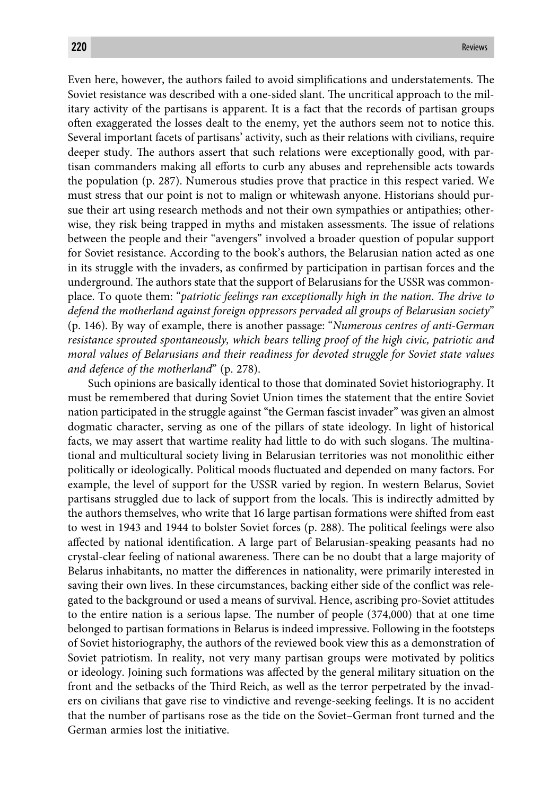Even here, however, the authors failed to avoid simplifications and understatements. The Soviet resistance was described with a one-sided slant. The uncritical approach to the military activity of the partisans is apparent. It is a fact that the records of partisan groups often exaggerated the losses dealt to the enemy, yet the authors seem not to notice this. Several important facets of partisans' activity, such as their relations with civilians, require deeper study. The authors assert that such relations were exceptionally good, with partisan commanders making all efforts to curb any abuses and reprehensible acts towards the population (p. 287). Numerous studies prove that practice in this respect varied. We must stress that our point is not to malign or whitewash anyone. Historians should pursue their art using research methods and not their own sympathies or antipathies; otherwise, they risk being trapped in myths and mistaken assessments. The issue of relations between the people and their "avengers" involved a broader question of popular support for Soviet resistance. According to the book's authors, the Belarusian nation acted as one in its struggle with the invaders, as confirmed by participation in partisan forces and the underground. The authors state that the support of Belarusians for the USSR was commonplace. To quote them: "*patriotic feelings ran exceptionally high in the nation. The drive to defend the motherland against foreign oppressors pervaded all groups of Belarusian society*" (p. 146). By way of example, there is another passage: "*Numerous centres of anti-German resistance sprouted spontaneously, which bears telling proof of the high civic, patriotic and moral values of Belarusians and their readiness for devoted struggle for Soviet state values and defence of the motherland*" (p. 278).

Such opinions are basically identical to those that dominated Soviet historiography. It must be remembered that during Soviet Union times the statement that the entire Soviet nation participated in the struggle against "the German fascist invader" was given an almost dogmatic character, serving as one of the pillars of state ideology. In light of historical facts, we may assert that wartime reality had little to do with such slogans. The multinational and multicultural society living in Belarusian territories was not monolithic either politically or ideologically. Political moods fluctuated and depended on many factors. For example, the level of support for the USSR varied by region. In western Belarus, Soviet partisans struggled due to lack of support from the locals. This is indirectly admitted by the authors themselves, who write that 16 large partisan formations were shifted from east to west in 1943 and 1944 to bolster Soviet forces (p. 288). The political feelings were also affected by national identification. A large part of Belarusian-speaking peasants had no crystal-clear feeling of national awareness. There can be no doubt that a large majority of Belarus inhabitants, no matter the differences in nationality, were primarily interested in saving their own lives. In these circumstances, backing either side of the conflict was relegated to the background or used a means of survival. Hence, ascribing pro-Soviet attitudes to the entire nation is a serious lapse. The number of people  $(374,000)$  that at one time belonged to partisan formations in Belarus is indeed impressive. Following in the footsteps of Soviet historiography, the authors of the reviewed book view this as a demonstration of Soviet patriotism. In reality, not very many partisan groups were motivated by politics or ideology. Joining such formations was affected by the general military situation on the front and the setbacks of the Third Reich, as well as the terror perpetrated by the invaders on civilians that gave rise to vindictive and revenge-seeking feelings. It is no accident that the number of partisans rose as the tide on the Soviet–German front turned and the German armies lost the initiative.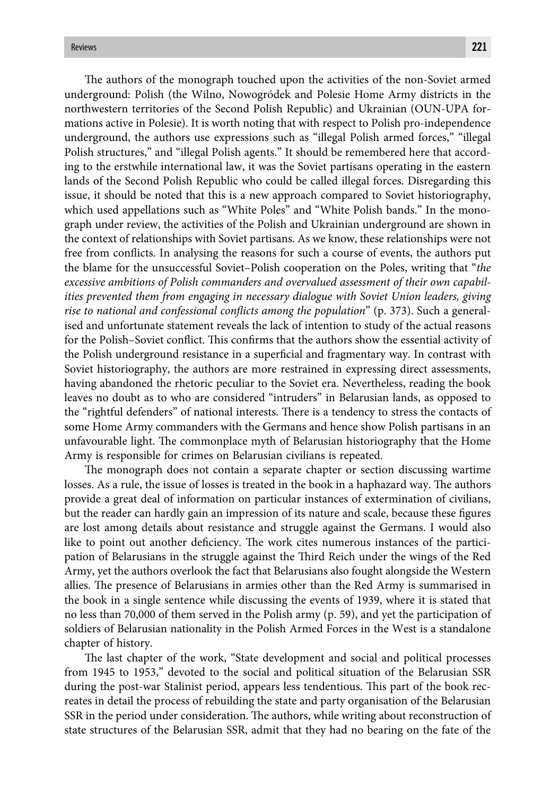The authors of the monograph touched upon the activities of the non-Soviet armed underground: Polish (the Wilno, Nowogródek and Polesie Home Army districts in the northwestern territories of the Second Polish Republic) and Ukrainian (OUN-UPA formations active in Polesie). It is worth noting that with respect to Polish pro-independence underground, the authors use expressions such as "illegal Polish armed forces," "illegal Polish structures," and "illegal Polish agents." It should be remembered here that according to the erstwhile international law, it was the Soviet partisans operating in the eastern lands of the Second Polish Republic who could be called illegal forces. Disregarding this issue, it should be noted that this is a new approach compared to Soviet historiography, which used appellations such as "White Poles" and "White Polish bands." In the monograph under review, the activities of the Polish and Ukrainian underground are shown in the context of relationships with Soviet partisans. As we know, these relationships were not free from conflicts. In analysing the reasons for such a course of events, the authors put the blame for the unsuccessful Soviet–Polish cooperation on the Poles, writing that "*the excessive ambitions of Polish commanders and overvalued assessment of their own capabilities prevented them from engaging in necessary dialogue with Soviet Union leaders, giving rise to national and confessional conflicts among the population*" (p. 373). Such a generalised and unfortunate statement reveals the lack of intention to study of the actual reasons for the Polish–Soviet conflict. This confirms that the authors show the essential activity of the Polish underground resistance in a superficial and fragmentary way. In contrast with Soviet historiography, the authors are more restrained in expressing direct assessments, having abandoned the rhetoric peculiar to the Soviet era. Nevertheless, reading the book leaves no doubt as to who are considered "intruders" in Belarusian lands, as opposed to the "rightful defenders" of national interests. There is a tendency to stress the contacts of some Home Army commanders with the Germans and hence show Polish partisans in an unfavourable light. The commonplace myth of Belarusian historiography that the Home Army is responsible for crimes on Belarusian civilians is repeated.

The monograph does not contain a separate chapter or section discussing wartime losses. As a rule, the issue of losses is treated in the book in a haphazard way. The authors provide a great deal of information on particular instances of extermination of civilians, but the reader can hardly gain an impression of its nature and scale, because these figures are lost among details about resistance and struggle against the Germans. I would also like to point out another deficiency. The work cites numerous instances of the participation of Belarusians in the struggle against the Third Reich under the wings of the Red Army, yet the authors overlook the fact that Belarusians also fought alongside the Western allies. The presence of Belarusians in armies other than the Red Army is summarised in the book in a single sentence while discussing the events of 1939, where it is stated that no less than 70,000 of them served in the Polish army (p. 59), and yet the participation of soldiers of Belarusian nationality in the Polish Armed Forces in the West is a standalone chapter of history.

The last chapter of the work, "State development and social and political processes from 1945 to 1953," devoted to the social and political situation of the Belarusian SSR during the post-war Stalinist period, appears less tendentious. This part of the book recreates in detail the process of rebuilding the state and party organisation of the Belarusian SSR in the period under consideration. The authors, while writing about reconstruction of state structures of the Belarusian SSR, admit that they had no bearing on the fate of the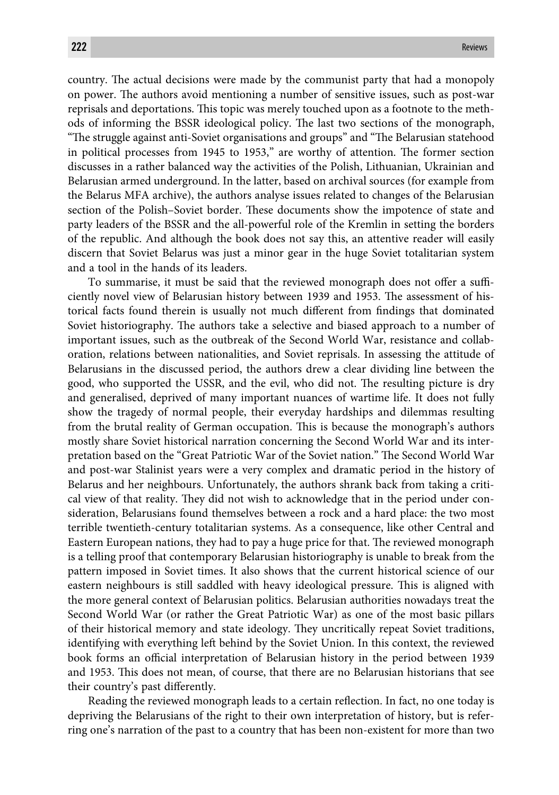country. The actual decisions were made by the communist party that had a monopoly on power. The authors avoid mentioning a number of sensitive issues, such as post-war reprisals and deportations. This topic was merely touched upon as a footnote to the methods of informing the BSSR ideological policy. The last two sections of the monograph, "The struggle against anti-Soviet organisations and groups" and "The Belarusian statehood in political processes from 1945 to 1953," are worthy of attention. The former section discusses in a rather balanced way the activities of the Polish, Lithuanian, Ukrainian and Belarusian armed underground. In the latter, based on archival sources (for example from the Belarus MFA archive), the authors analyse issues related to changes of the Belarusian section of the Polish–Soviet border. These documents show the impotence of state and party leaders of the BSSR and the all-powerful role of the Kremlin in setting the borders of the republic. And although the book does not say this, an attentive reader will easily discern that Soviet Belarus was just a minor gear in the huge Soviet totalitarian system and a tool in the hands of its leaders.

To summarise, it must be said that the reviewed monograph does not offer a sufficiently novel view of Belarusian history between 1939 and 1953. The assessment of historical facts found therein is usually not much different from findings that dominated Soviet historiography. The authors take a selective and biased approach to a number of important issues, such as the outbreak of the Second World War, resistance and collaboration, relations between nationalities, and Soviet reprisals. In assessing the attitude of Belarusians in the discussed period, the authors drew a clear dividing line between the good, who supported the USSR, and the evil, who did not. The resulting picture is dry and generalised, deprived of many important nuances of wartime life. It does not fully show the tragedy of normal people, their everyday hardships and dilemmas resulting from the brutal reality of German occupation. This is because the monograph's authors mostly share Soviet historical narration concerning the Second World War and its interpretation based on the "Great Patriotic War of the Soviet nation." The Second World War and post-war Stalinist years were a very complex and dramatic period in the history of Belarus and her neighbours. Unfortunately, the authors shrank back from taking a critical view of that reality. They did not wish to acknowledge that in the period under consideration, Belarusians found themselves between a rock and a hard place: the two most terrible twentieth-century totalitarian systems. As a consequence, like other Central and Eastern European nations, they had to pay a huge price for that. The reviewed monograph is a telling proof that contemporary Belarusian historiography is unable to break from the pattern imposed in Soviet times. It also shows that the current historical science of our eastern neighbours is still saddled with heavy ideological pressure. This is aligned with the more general context of Belarusian politics. Belarusian authorities nowadays treat the Second World War (or rather the Great Patriotic War) as one of the most basic pillars of their historical memory and state ideology. They uncritically repeat Soviet traditions, identifying with everything left behind by the Soviet Union. In this context, the reviewed book forms an official interpretation of Belarusian history in the period between 1939 and 1953. This does not mean, of course, that there are no Belarusian historians that see their country's past differently.

Reading the reviewed monograph leads to a certain reflection. In fact, no one today is depriving the Belarusians of the right to their own interpretation of history, but is referring one's narration of the past to a country that has been non-existent for more than two